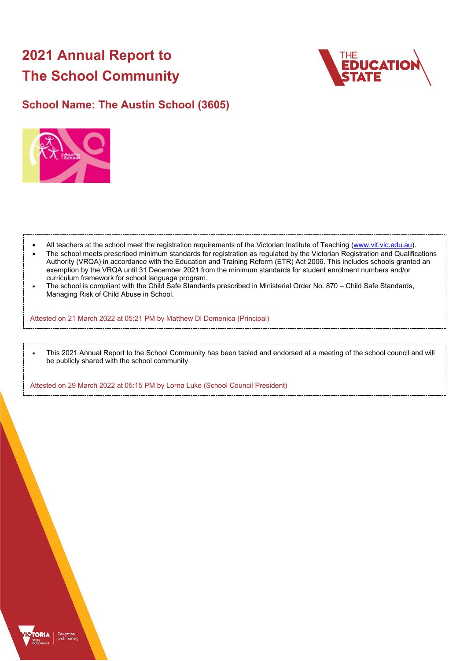# **2021 Annual Report to The School Community**



# **School Name: The Austin School (3605)**



- All teachers at the school meet the registration requirements of the Victorian Institute of Teaching [\(www.vit.vic.edu.au\)](https://www.vit.vic.edu.au/).
- The school meets prescribed minimum standards for registration as regulated by the Victorian Registration and Qualifications Authority (VRQA) in accordance with the Education and Training Reform (ETR) Act 2006. This includes schools granted an exemption by the VRQA until 31 December 2021 from the minimum standards for student enrolment numbers and/or curriculum framework for school language program.
- The school is compliant with the Child Safe Standards prescribed in Ministerial Order No. 870 Child Safe Standards, Managing Risk of Child Abuse in School.

Attested on 21 March 2022 at 05:21 PM by Matthew Di Domenica (Principal)

• This 2021 Annual Report to the School Community has been tabled and endorsed at a meeting of the school council and will be publicly shared with the school community

Attested on 29 March 2022 at 05:15 PM by Lorna Luke (School Council President)

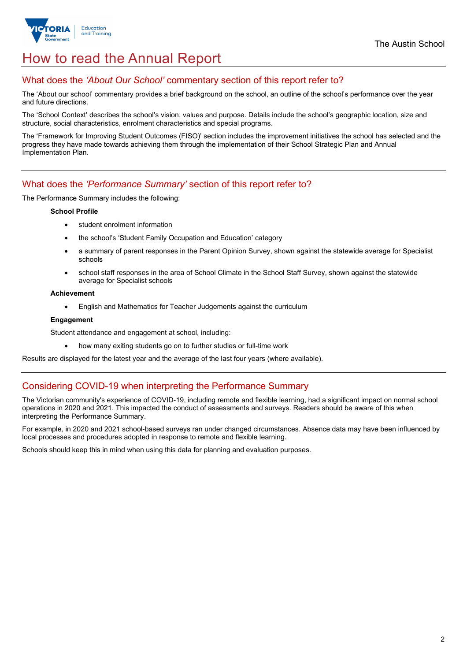

# How to read the Annual Report

## What does the *'About Our School'* commentary section of this report refer to?

The 'About our school' commentary provides a brief background on the school, an outline of the school's performance over the year and future directions.

The 'School Context' describes the school's vision, values and purpose. Details include the school's geographic location, size and structure, social characteristics, enrolment characteristics and special programs.

The 'Framework for Improving Student Outcomes (FISO)' section includes the improvement initiatives the school has selected and the progress they have made towards achieving them through the implementation of their School Strategic Plan and Annual Implementation Plan.

## What does the *'Performance Summary'* section of this report refer to?

The Performance Summary includes the following:

#### **School Profile**

- student enrolment information
- the school's 'Student Family Occupation and Education' category
- a summary of parent responses in the Parent Opinion Survey, shown against the statewide average for Specialist schools
- school staff responses in the area of School Climate in the School Staff Survey, shown against the statewide average for Specialist schools

#### **Achievement**

• English and Mathematics for Teacher Judgements against the curriculum

#### **Engagement**

Student attendance and engagement at school, including:

• how many exiting students go on to further studies or full-time work

Results are displayed for the latest year and the average of the last four years (where available).

## Considering COVID-19 when interpreting the Performance Summary

The Victorian community's experience of COVID-19, including remote and flexible learning, had a significant impact on normal school operations in 2020 and 2021. This impacted the conduct of assessments and surveys. Readers should be aware of this when interpreting the Performance Summary.

For example, in 2020 and 2021 school-based surveys ran under changed circumstances. Absence data may have been influenced by local processes and procedures adopted in response to remote and flexible learning.

Schools should keep this in mind when using this data for planning and evaluation purposes.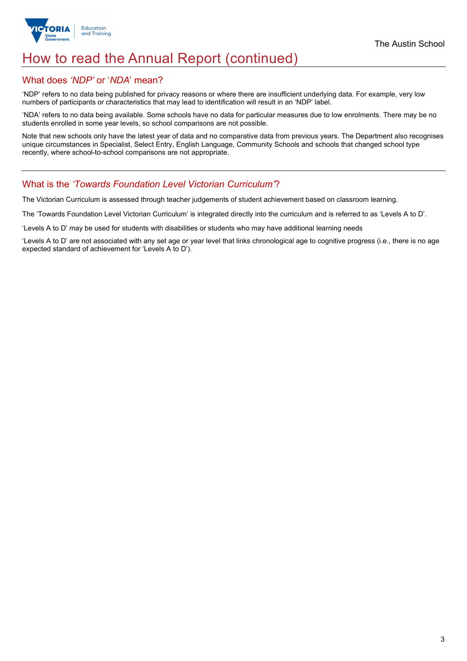

# How to read the Annual Report (continued)

## What does *'NDP'* or '*NDA*' mean?

'NDP' refers to no data being published for privacy reasons or where there are insufficient underlying data. For example, very low numbers of participants or characteristics that may lead to identification will result in an 'NDP' label.

'NDA' refers to no data being available. Some schools have no data for particular measures due to low enrolments. There may be no students enrolled in some year levels, so school comparisons are not possible.

Note that new schools only have the latest year of data and no comparative data from previous years. The Department also recognises unique circumstances in Specialist, Select Entry, English Language, Community Schools and schools that changed school type recently, where school-to-school comparisons are not appropriate.

## What is the *'Towards Foundation Level Victorian Curriculum'*?

The Victorian Curriculum is assessed through teacher judgements of student achievement based on classroom learning.

The 'Towards Foundation Level Victorian Curriculum' is integrated directly into the curriculum and is referred to as 'Levels A to D'.

'Levels A to D' may be used for students with disabilities or students who may have additional learning needs

'Levels A to D' are not associated with any set age or year level that links chronological age to cognitive progress (i.e., there is no age expected standard of achievement for 'Levels A to D').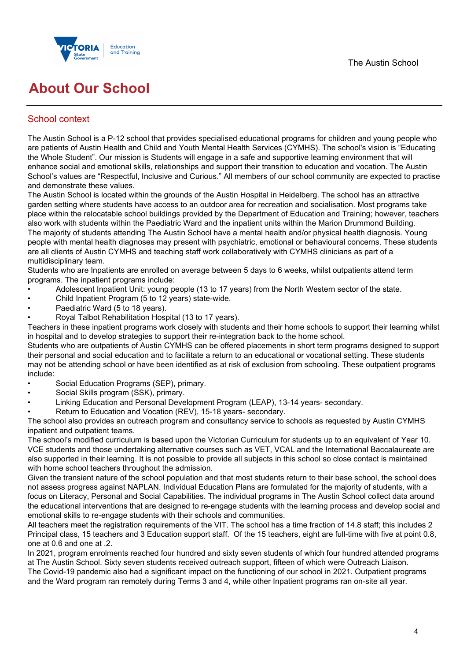

# **About Our School**

# School context

The Austin School is a P-12 school that provides specialised educational programs for children and young people who are patients of Austin Health and Child and Youth Mental Health Services (CYMHS). The school's vision is "Educating the Whole Student". Our mission is Students will engage in a safe and supportive learning environment that will enhance social and emotional skills, relationships and support their transition to education and vocation. The Austin School's values are "Respectful, Inclusive and Curious." All members of our school community are expected to practise and demonstrate these values.

The Austin School is located within the grounds of the Austin Hospital in Heidelberg. The school has an attractive garden setting where students have access to an outdoor area for recreation and socialisation. Most programs take place within the relocatable school buildings provided by the Department of Education and Training; however, teachers also work with students within the Paediatric Ward and the inpatient units within the Marion Drummond Building. The majority of students attending The Austin School have a mental health and/or physical health diagnosis. Young people with mental health diagnoses may present with psychiatric, emotional or behavioural concerns. These students are all clients of Austin CYMHS and teaching staff work collaboratively with CYMHS clinicians as part of a multidisciplinary team.

Students who are Inpatients are enrolled on average between 5 days to 6 weeks, whilst outpatients attend term programs. The inpatient programs include:

- Adolescent Inpatient Unit: young people (13 to 17 years) from the North Western sector of the state.
- Child Inpatient Program (5 to 12 years) state-wide.
- Paediatric Ward (5 to 18 years).
- Royal Talbot Rehabilitation Hospital (13 to 17 years).

Teachers in these inpatient programs work closely with students and their home schools to support their learning whilst in hospital and to develop strategies to support their re-integration back to the home school.

Students who are outpatients of Austin CYMHS can be offered placements in short term programs designed to support their personal and social education and to facilitate a return to an educational or vocational setting. These students may not be attending school or have been identified as at risk of exclusion from schooling. These outpatient programs include:

- Social Education Programs (SEP), primary.
- Social Skills program (SSK), primary.
- Linking Education and Personal Development Program (LEAP), 13-14 years- secondary.
- Return to Education and Vocation (REV), 15-18 years- secondary.

The school also provides an outreach program and consultancy service to schools as requested by Austin CYMHS inpatient and outpatient teams.

The school's modified curriculum is based upon the Victorian Curriculum for students up to an equivalent of Year 10. VCE students and those undertaking alternative courses such as VET, VCAL and the International Baccalaureate are also supported in their learning. It is not possible to provide all subjects in this school so close contact is maintained with home school teachers throughout the admission.

Given the transient nature of the school population and that most students return to their base school, the school does not assess progress against NAPLAN. Individual Education Plans are formulated for the majority of students, with a focus on Literacy, Personal and Social Capabilities. The individual programs in The Austin School collect data around the educational interventions that are designed to re-engage students with the learning process and develop social and emotional skills to re-engage students with their schools and communities.

All teachers meet the registration requirements of the VIT. The school has a time fraction of 14.8 staff; this includes 2 Principal class, 15 teachers and 3 Education support staff. Of the 15 teachers, eight are full-time with five at point 0.8, one at 0.6 and one at .2.

In 2021, program enrolments reached four hundred and sixty seven students of which four hundred attended programs at The Austin School. Sixty seven students received outreach support, fifteen of which were Outreach Liaison. The Covid-19 pandemic also had a significant impact on the functioning of our school in 2021. Outpatient programs and the Ward program ran remotely during Terms 3 and 4, while other Inpatient programs ran on-site all year.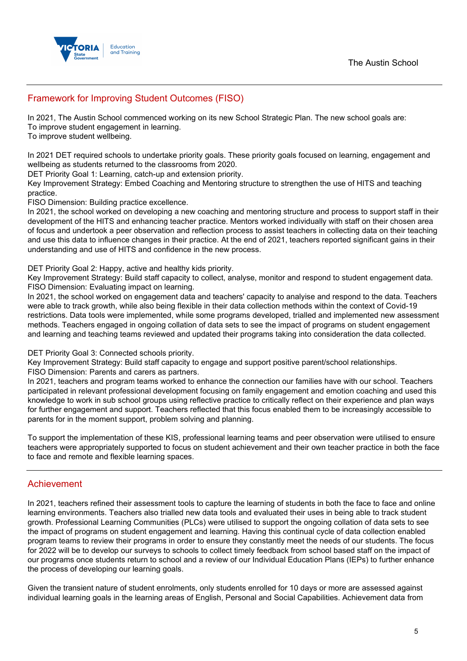

# Framework for Improving Student Outcomes (FISO)

In 2021, The Austin School commenced working on its new School Strategic Plan. The new school goals are: To improve student engagement in learning.

To improve student wellbeing.

In 2021 DET required schools to undertake priority goals. These priority goals focused on learning, engagement and wellbeing as students returned to the classrooms from 2020.

DET Priority Goal 1: Learning, catch-up and extension priority.

Key Improvement Strategy: Embed Coaching and Mentoring structure to strengthen the use of HITS and teaching practice.

FISO Dimension: Building practice excellence.

In 2021, the school worked on developing a new coaching and mentoring structure and process to support staff in their development of the HITS and enhancing teacher practice. Mentors worked individually with staff on their chosen area of focus and undertook a peer observation and reflection process to assist teachers in collecting data on their teaching and use this data to influence changes in their practice. At the end of 2021, teachers reported significant gains in their understanding and use of HITS and confidence in the new process.

DET Priority Goal 2: Happy, active and healthy kids priority.

Key Improvement Strategy: Build staff capacity to collect, analyse, monitor and respond to student engagement data. FISO Dimension: Evaluating impact on learning.

In 2021, the school worked on engagement data and teachers' capacity to analyise and respond to the data. Teachers were able to track growth, while also being flexible in their data collection methods within the context of Covid-19 restrictions. Data tools were implemented, while some programs developed, trialled and implemented new assessment methods. Teachers engaged in ongoing collation of data sets to see the impact of programs on student engagement and learning and teaching teams reviewed and updated their programs taking into consideration the data collected.

DET Priority Goal 3: Connected schools priority.

Key Improvement Strategy: Build staff capacity to engage and support positive parent/school relationships. FISO Dimension: Parents and carers as partners.

In 2021, teachers and program teams worked to enhance the connection our families have with our school. Teachers participated in relevant professional development focusing on family engagement and emotion coaching and used this knowledge to work in sub school groups using reflective practice to critically reflect on their experience and plan ways for further engagement and support. Teachers reflected that this focus enabled them to be increasingly accessible to parents for in the moment support, problem solving and planning.

To support the implementation of these KIS, professional learning teams and peer observation were utilised to ensure teachers were appropriately supported to focus on student achievement and their own teacher practice in both the face to face and remote and flexible learning spaces.

# Achievement

In 2021, teachers refined their assessment tools to capture the learning of students in both the face to face and online learning environments. Teachers also trialled new data tools and evaluated their uses in being able to track student growth. Professional Learning Communities (PLCs) were utilised to support the ongoing collation of data sets to see the impact of programs on student engagement and learning. Having this continual cycle of data collection enabled program teams to review their programs in order to ensure they constantly meet the needs of our students. The focus for 2022 will be to develop our surveys to schools to collect timely feedback from school based staff on the impact of our programs once students return to school and a review of our Individual Education Plans (IEPs) to further enhance the process of developing our learning goals.

Given the transient nature of student enrolments, only students enrolled for 10 days or more are assessed against individual learning goals in the learning areas of English, Personal and Social Capabilities. Achievement data from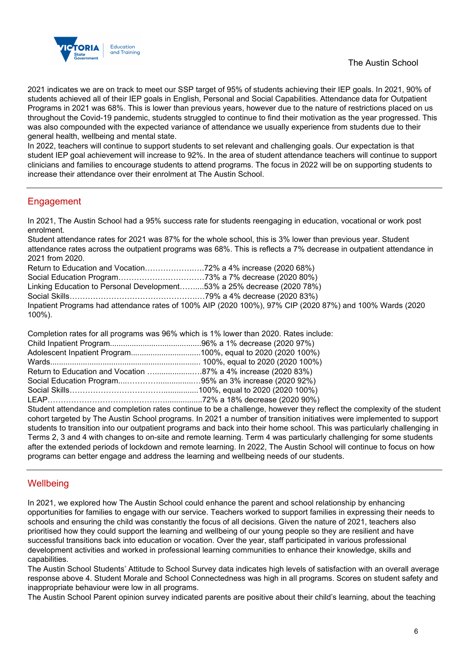

2021 indicates we are on track to meet our SSP target of 95% of students achieving their IEP goals. In 2021, 90% of students achieved all of their IEP goals in English, Personal and Social Capabilities. Attendance data for Outpatient Programs in 2021 was 68%. This is lower than previous years, however due to the nature of restrictions placed on us throughout the Covid-19 pandemic, students struggled to continue to find their motivation as the year progressed. This was also compounded with the expected variance of attendance we usually experience from students due to their general health, wellbeing and mental state.

In 2022, teachers will continue to support students to set relevant and challenging goals. Our expectation is that student IEP goal achievement will increase to 92%. In the area of student attendance teachers will continue to support clinicians and families to encourage students to attend programs. The focus in 2022 will be on supporting students to increase their attendance over their enrolment at The Austin School.

# **Engagement**

In 2021, The Austin School had a 95% success rate for students reengaging in education, vocational or work post enrolment.

Student attendance rates for 2021 was 87% for the whole school, this is 3% lower than previous year. Student attendance rates across the outpatient programs was 68%. This is reflects a 7% decrease in outpatient attendance in 2021 from 2020.

Return to Education and Vocation……………….….72% a 4% increase (2020 68%) Social Education Program……………………………73% a 7% decrease (2020 80%) Linking Education to Personal Development……....53% a 25% decrease (2020 78%) Social Skills………………………………………….…79% a 4% decrease (2020 83%) Inpatient Programs had attendance rates of 100% AIP (2020 100%), 97% CIP (2020 87%) and 100% Wards (2020 100%).

Completion rates for all programs was 96% which is 1% lower than 2020. Rates include:

|                                                               | Adolescent Inpatient Program100%, equal to 2020 (2020 100%)                          |
|---------------------------------------------------------------|--------------------------------------------------------------------------------------|
|                                                               |                                                                                      |
| Return to Education and Vocation 87% a 4% increase (2020 83%) |                                                                                      |
|                                                               |                                                                                      |
|                                                               |                                                                                      |
|                                                               | LEAP……………………………………………………72% a 18% decrease (2020 90%)                                |
|                                                               | Student ettendence and completion retea continue to be a shallenge, however they rej |

Student attendance and completion rates continue to be a challenge, however they reflect the complexity of the student cohort targeted by The Austin School programs. In 2021 a number of transition initiatives were implemented to support students to transition into our outpatient programs and back into their home school. This was particularly challenging in Terms 2, 3 and 4 with changes to on-site and remote learning. Term 4 was particularly challenging for some students after the extended periods of lockdown and remote learning. In 2022, The Austin School will continue to focus on how programs can better engage and address the learning and wellbeing needs of our students.

# **Wellbeing**

In 2021, we explored how The Austin School could enhance the parent and school relationship by enhancing opportunities for families to engage with our service. Teachers worked to support families in expressing their needs to schools and ensuring the child was constantly the focus of all decisions. Given the nature of 2021, teachers also prioritised how they could support the learning and wellbeing of our young people so they are resilient and have successful transitions back into education or vocation. Over the year, staff participated in various professional development activities and worked in professional learning communities to enhance their knowledge, skills and capabilities.

The Austin School Students' Attitude to School Survey data indicates high levels of satisfaction with an overall average response above 4. Student Morale and School Connectedness was high in all programs. Scores on student safety and inappropriate behaviour were low in all programs.

The Austin School Parent opinion survey indicated parents are positive about their child's learning, about the teaching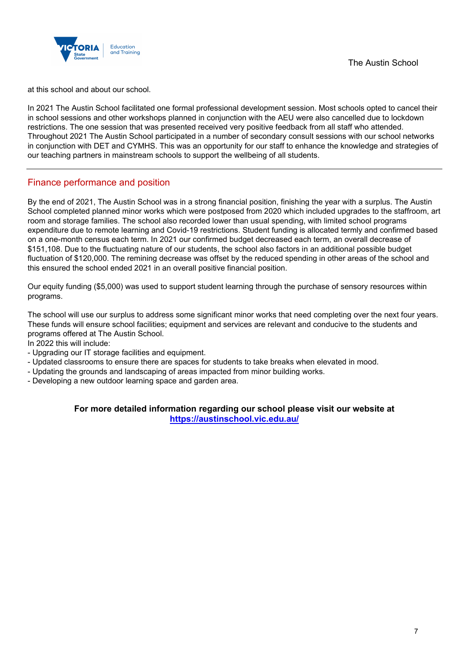

at this school and about our school.

In 2021 The Austin School facilitated one formal professional development session. Most schools opted to cancel their in school sessions and other workshops planned in conjunction with the AEU were also cancelled due to lockdown restrictions. The one session that was presented received very positive feedback from all staff who attended. Throughout 2021 The Austin School participated in a number of secondary consult sessions with our school networks in conjunction with DET and CYMHS. This was an opportunity for our staff to enhance the knowledge and strategies of our teaching partners in mainstream schools to support the wellbeing of all students.

### Finance performance and position

By the end of 2021, The Austin School was in a strong financial position, finishing the year with a surplus. The Austin School completed planned minor works which were postposed from 2020 which included upgrades to the staffroom, art room and storage families. The school also recorded lower than usual spending, with limited school programs expenditure due to remote learning and Covid-19 restrictions. Student funding is allocated termly and confirmed based on a one-month census each term. In 2021 our confirmed budget decreased each term, an overall decrease of \$151,108. Due to the fluctuating nature of our students, the school also factors in an additional possible budget fluctuation of \$120,000. The remining decrease was offset by the reduced spending in other areas of the school and this ensured the school ended 2021 in an overall positive financial position.

Our equity funding (\$5,000) was used to support student learning through the purchase of sensory resources within programs.

The school will use our surplus to address some significant minor works that need completing over the next four years. These funds will ensure school facilities; equipment and services are relevant and conducive to the students and programs offered at The Austin School.

In 2022 this will include:

- Upgrading our IT storage facilities and equipment.
- Updated classrooms to ensure there are spaces for students to take breaks when elevated in mood.
- Updating the grounds and landscaping of areas impacted from minor building works.
- Developing a new outdoor learning space and garden area.

**For more detailed information regarding our school please visit our website at <https://austinschool.vic.edu.au/>**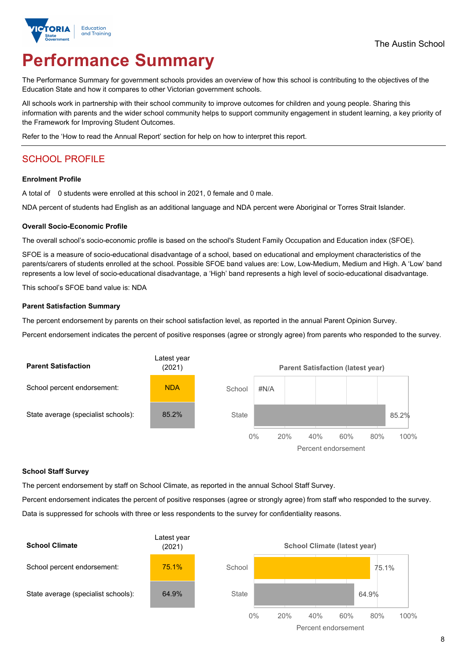

# **Performance Summary**

The Performance Summary for government schools provides an overview of how this school is contributing to the objectives of the Education State and how it compares to other Victorian government schools.

All schools work in partnership with their school community to improve outcomes for children and young people. Sharing this information with parents and the wider school community helps to support community engagement in student learning, a key priority of the Framework for Improving Student Outcomes.

Refer to the 'How to read the Annual Report' section for help on how to interpret this report.

# SCHOOL PROFILE

#### **Enrolment Profile**

A total of 0 students were enrolled at this school in 2021, 0 female and 0 male.

NDA percent of students had English as an additional language and NDA percent were Aboriginal or Torres Strait Islander.

#### **Overall Socio-Economic Profile**

The overall school's socio-economic profile is based on the school's Student Family Occupation and Education index (SFOE).

SFOE is a measure of socio-educational disadvantage of a school, based on educational and employment characteristics of the parents/carers of students enrolled at the school. Possible SFOE band values are: Low, Low-Medium, Medium and High. A 'Low' band represents a low level of socio-educational disadvantage, a 'High' band represents a high level of socio-educational disadvantage.

This school's SFOE band value is: NDA

#### **Parent Satisfaction Summary**

The percent endorsement by parents on their school satisfaction level, as reported in the annual Parent Opinion Survey.

Percent endorsement indicates the percent of positive responses (agree or strongly agree) from parents who responded to the survey.



#### **School Staff Survey**

The percent endorsement by staff on School Climate, as reported in the annual School Staff Survey.

Percent endorsement indicates the percent of positive responses (agree or strongly agree) from staff who responded to the survey. Data is suppressed for schools with three or less respondents to the survey for confidentiality reasons.

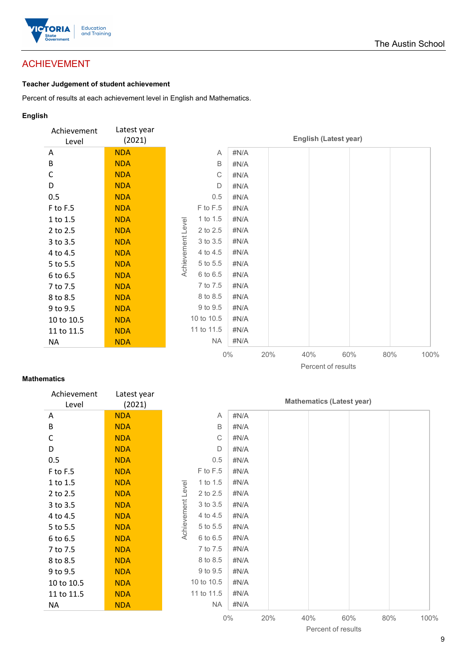

# ACHIEVEMENT

### **Teacher Judgement of student achievement**

Percent of results at each achievement level in English and Mathematics.

### **English**

| Achievement<br>Level | Latest year<br>(2021) |                               |       |     | <b>English (Latest year)</b> |     |     |      |
|----------------------|-----------------------|-------------------------------|-------|-----|------------------------------|-----|-----|------|
| A                    | <b>NDA</b>            | Α                             | #N/A  |     |                              |     |     |      |
| B                    | <b>NDA</b>            | B                             | #N/A  |     |                              |     |     |      |
| C                    | <b>NDA</b>            | C                             | #N/A  |     |                              |     |     |      |
| D                    | <b>NDA</b>            | D                             | #N/A  |     |                              |     |     |      |
| 0.5                  | <b>NDA</b>            | 0.5                           | #N/A  |     |                              |     |     |      |
| F to F.5             | <b>NDA</b>            | F to F.5                      | #N/A  |     |                              |     |     |      |
| 1 to 1.5             | <b>NDA</b>            | 1 to 1.5                      | #N/A  |     |                              |     |     |      |
| 2 to 2.5             | <b>NDA</b>            | 2 to 2.5                      | #N/A  |     |                              |     |     |      |
| 3 to 3.5             | <b>NDA</b>            | 3 to 3.5                      | #N/A  |     |                              |     |     |      |
| 4 to 4.5             | <b>NDA</b>            | 4 to 4.5                      | #N/A  |     |                              |     |     |      |
| 5 to 5.5             | <b>NDA</b>            | Achievement Level<br>5 to 5.5 | #N/A  |     |                              |     |     |      |
| 6 to 6.5             | <b>NDA</b>            | 6 to 6.5                      | #N/A  |     |                              |     |     |      |
| 7 to 7.5             | <b>NDA</b>            | 7 to 7.5                      | #N/A  |     |                              |     |     |      |
| 8 to 8.5             | <b>NDA</b>            | 8 to 8.5                      | #N/A  |     |                              |     |     |      |
| 9 to 9.5             | <b>NDA</b>            | 9 to 9.5                      | #N/A  |     |                              |     |     |      |
| 10 to 10.5           | <b>NDA</b>            | 10 to 10.5                    | #N/A  |     |                              |     |     |      |
| 11 to 11.5           | <b>NDA</b>            | 11 to 11.5                    | #N/A  |     |                              |     |     |      |
| <b>NA</b>            | <b>NDA</b>            | <b>NA</b>                     | #N/A  |     |                              |     |     |      |
|                      |                       |                               | $0\%$ | 20% | 40%                          | 60% | 80% | 100% |

#### Percent of results

#### **Mathematics**

| Achievement<br>Level | Latest year<br>(2021) |                   |            |       |     |     | <b>Mathematics (Latest year)</b> |     |      |
|----------------------|-----------------------|-------------------|------------|-------|-----|-----|----------------------------------|-----|------|
| A                    | <b>NDA</b>            |                   | A          | #N/A  |     |     |                                  |     |      |
| B                    | <b>NDA</b>            |                   | B          | #N/A  |     |     |                                  |     |      |
| С                    | <b>NDA</b>            |                   | C          | #N/A  |     |     |                                  |     |      |
| D                    | <b>NDA</b>            |                   | D          | #N/A  |     |     |                                  |     |      |
| 0.5                  | <b>NDA</b>            |                   | 0.5        | #N/A  |     |     |                                  |     |      |
| F to F.5             | <b>NDA</b>            |                   | F to F.5   | #N/A  |     |     |                                  |     |      |
| 1 to 1.5             | <b>NDA</b>            |                   | 1 to 1.5   | #N/A  |     |     |                                  |     |      |
| 2 to 2.5             | <b>NDA</b>            | Achievement Level | 2 to 2.5   | #N/A  |     |     |                                  |     |      |
| 3 to 3.5             | <b>NDA</b>            |                   | 3 to 3.5   | #N/A  |     |     |                                  |     |      |
| 4 to 4.5             | <b>NDA</b>            |                   | 4 to 4.5   | #N/A  |     |     |                                  |     |      |
| 5 to 5.5             | <b>NDA</b>            |                   | 5 to 5.5   | #N/A  |     |     |                                  |     |      |
| 6 to 6.5             | <b>NDA</b>            |                   | 6 to 6.5   | #N/A  |     |     |                                  |     |      |
| 7 to 7.5             | <b>NDA</b>            |                   | 7 to 7.5   | #N/A  |     |     |                                  |     |      |
| 8 to 8.5             | <b>NDA</b>            |                   | 8 to 8.5   | #N/A  |     |     |                                  |     |      |
| 9 to 9.5             | <b>NDA</b>            |                   | 9 to 9.5   | #N/A  |     |     |                                  |     |      |
| 10 to 10.5           | <b>NDA</b>            |                   | 10 to 10.5 | #N/A  |     |     |                                  |     |      |
| 11 to 11.5           | <b>NDA</b>            |                   | 11 to 11.5 | #N/A  |     |     |                                  |     |      |
| <b>NA</b>            | <b>NDA</b>            |                   | <b>NA</b>  | #N/A  |     |     |                                  |     |      |
|                      |                       |                   |            | $0\%$ | 20% | 40% | 60%                              | 80% | 100% |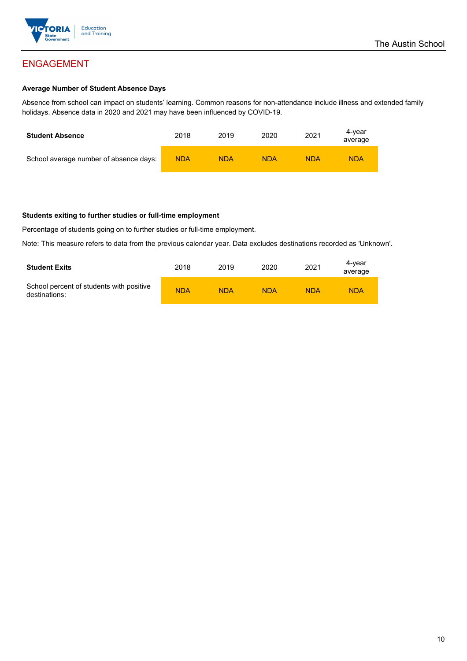

#### **Average Number of Student Absence Days**

Absence from school can impact on students' learning. Common reasons for non-attendance include illness and extended family holidays. Absence data in 2020 and 2021 may have been influenced by COVID-19.

| <b>Student Absence</b>                 | 2018       | 2019       | 2020       | 2021       | 4-vear<br>average |
|----------------------------------------|------------|------------|------------|------------|-------------------|
| School average number of absence days: | <b>NDA</b> | <b>NDA</b> | <b>NDA</b> | <b>NDA</b> | <b>NDA</b>        |

#### **Students exiting to further studies or full-time employment**

Percentage of students going on to further studies or full-time employment.

Note: This measure refers to data from the previous calendar year. Data excludes destinations recorded as 'Unknown'.

| <b>Student Exits</b>                                      | 2018       | 2019       | 2020       | 2021       | 4-vear<br>average |
|-----------------------------------------------------------|------------|------------|------------|------------|-------------------|
| School percent of students with positive<br>destinations: | <b>NDA</b> | <b>NDA</b> | <b>NDA</b> | <b>NDA</b> | <b>NDA</b>        |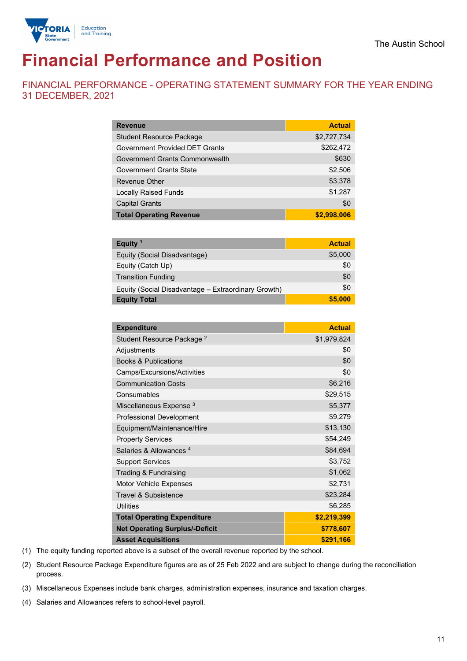

# **Financial Performance and Position**

FINANCIAL PERFORMANCE - OPERATING STATEMENT SUMMARY FOR THE YEAR ENDING 31 DECEMBER, 2021

| <b>Revenue</b>                        | <b>Actual</b> |
|---------------------------------------|---------------|
| <b>Student Resource Package</b>       | \$2,727,734   |
| <b>Government Provided DET Grants</b> | \$262,472     |
| Government Grants Commonwealth        | \$630         |
| <b>Government Grants State</b>        | \$2,506       |
| Revenue Other                         | \$3,378       |
| <b>Locally Raised Funds</b>           | \$1,287       |
| <b>Capital Grants</b>                 | \$0           |
| <b>Total Operating Revenue</b>        | \$2,998,006   |

| Equity <sup>1</sup>                                 | <b>Actual</b> |
|-----------------------------------------------------|---------------|
| Equity (Social Disadvantage)                        | \$5,000       |
| Equity (Catch Up)                                   | \$0           |
| <b>Transition Funding</b>                           | \$0           |
| Equity (Social Disadvantage - Extraordinary Growth) | \$0           |
| <b>Equity Total</b>                                 | \$5,000       |

| <b>Expenditure</b>                    | <b>Actual</b> |
|---------------------------------------|---------------|
| Student Resource Package <sup>2</sup> | \$1,979,824   |
| Adjustments                           | \$0           |
| <b>Books &amp; Publications</b>       | \$0           |
| Camps/Excursions/Activities           | \$0           |
| <b>Communication Costs</b>            | \$6,216       |
| Consumables                           | \$29,515      |
| Miscellaneous Expense <sup>3</sup>    | \$5,377       |
| Professional Development              | \$9,279       |
| Equipment/Maintenance/Hire            | \$13,130      |
| <b>Property Services</b>              | \$54,249      |
| Salaries & Allowances <sup>4</sup>    | \$84,694      |
| <b>Support Services</b>               | \$3,752       |
| Trading & Fundraising                 | \$1,062       |
| Motor Vehicle Expenses                | \$2,731       |
| Travel & Subsistence                  | \$23,284      |
| Utilities                             | \$6,285       |
| <b>Total Operating Expenditure</b>    | \$2,219,399   |
| <b>Net Operating Surplus/-Deficit</b> | \$778,607     |
| <b>Asset Acquisitions</b>             | \$291,166     |

(1) The equity funding reported above is a subset of the overall revenue reported by the school.

(2) Student Resource Package Expenditure figures are as of 25 Feb 2022 and are subject to change during the reconciliation process.

(3) Miscellaneous Expenses include bank charges, administration expenses, insurance and taxation charges.

(4) Salaries and Allowances refers to school-level payroll.